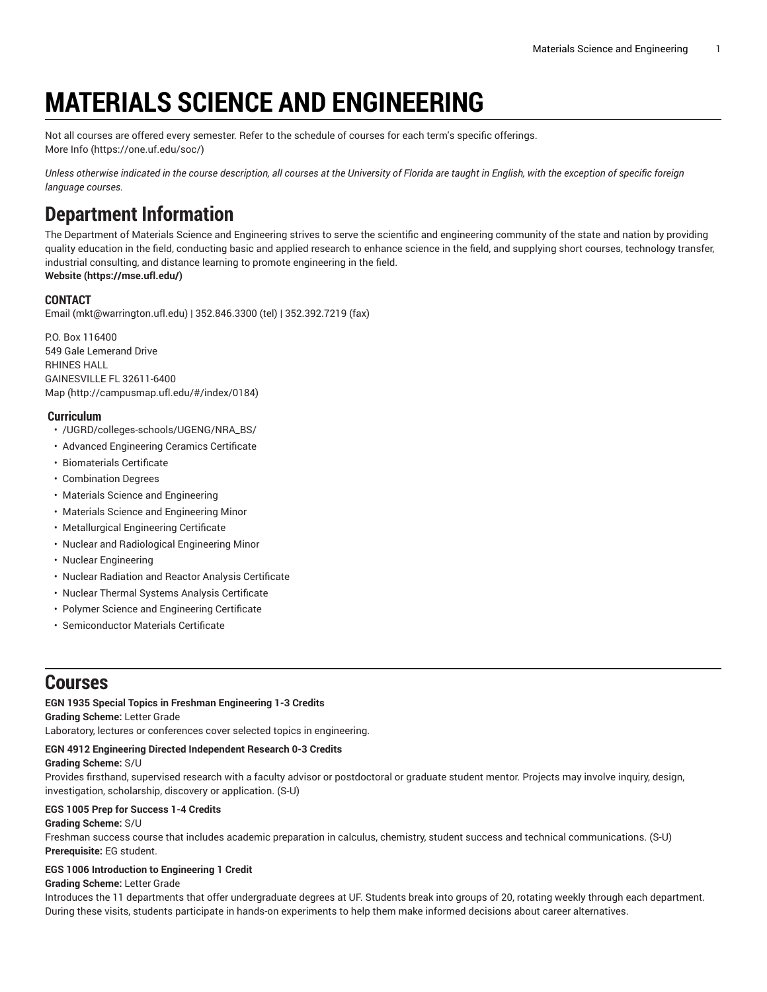# **MATERIALS SCIENCE AND ENGINEERING**

Not all courses are offered every semester. Refer to the schedule of courses for each term's specific offerings. [More](https://one.uf.edu/soc/) Info [\(https://one.uf.edu/soc/](https://one.uf.edu/soc/))

Unless otherwise indicated in the course description, all courses at the University of Florida are taught in English, with the exception of specific foreign *language courses.*

# **Department Information**

The Department of Materials Science and Engineering strives to serve the scientific and engineering community of the state and nation by providing quality education in the field, conducting basic and applied research to enhance science in the field, and supplying short courses, technology transfer, industrial consulting, and distance learning to promote engineering in the field.

**[Website](https://mse.ufl.edu/) (<https://mse.ufl.edu/>)**

# **CONTACT**

[Email](mailto:mkt@warrington.ufl.edu) (<mkt@warrington.ufl.edu>) | 352.846.3300 (tel) | 352.392.7219 (fax)

P.O. Box 116400 549 Gale Lemerand Drive RHINES HALL GAINESVILLE FL 32611-6400 [Map](http://campusmap.ufl.edu/#/index/0184) ([http://campusmap.ufl.edu/#/index/0184\)](http://campusmap.ufl.edu/#/index/0184)

# **Curriculum**

- /UGRD/colleges-schools/UGENG/NRA\_BS/
- Advanced Engineering Ceramics Certificate
- Biomaterials Certificate
- Combination Degrees
- Materials Science and Engineering
- Materials Science and Engineering Minor
- Metallurgical Engineering Certificate
- Nuclear and Radiological Engineering Minor
- Nuclear Engineering
- Nuclear Radiation and Reactor Analysis Certificate
- Nuclear Thermal Systems Analysis Certificate
- Polymer Science and Engineering Certificate
- Semiconductor Materials Certificate

# **Courses**

# **EGN 1935 Special Topics in Freshman Engineering 1-3 Credits**

**Grading Scheme:** Letter Grade

Laboratory, lectures or conferences cover selected topics in engineering.

# **EGN 4912 Engineering Directed Independent Research 0-3 Credits**

# **Grading Scheme:** S/U

Provides firsthand, supervised research with a faculty advisor or postdoctoral or graduate student mentor. Projects may involve inquiry, design, investigation, scholarship, discovery or application. (S-U)

# **EGS 1005 Prep for Success 1-4 Credits**

# **Grading Scheme:** S/U

Freshman success course that includes academic preparation in calculus, chemistry, student success and technical communications. (S-U) **Prerequisite:** EG student.

# **EGS 1006 Introduction to Engineering 1 Credit**

# **Grading Scheme:** Letter Grade

Introduces the 11 departments that offer undergraduate degrees at UF. Students break into groups of 20, rotating weekly through each department. During these visits, students participate in hands-on experiments to help them make informed decisions about career alternatives.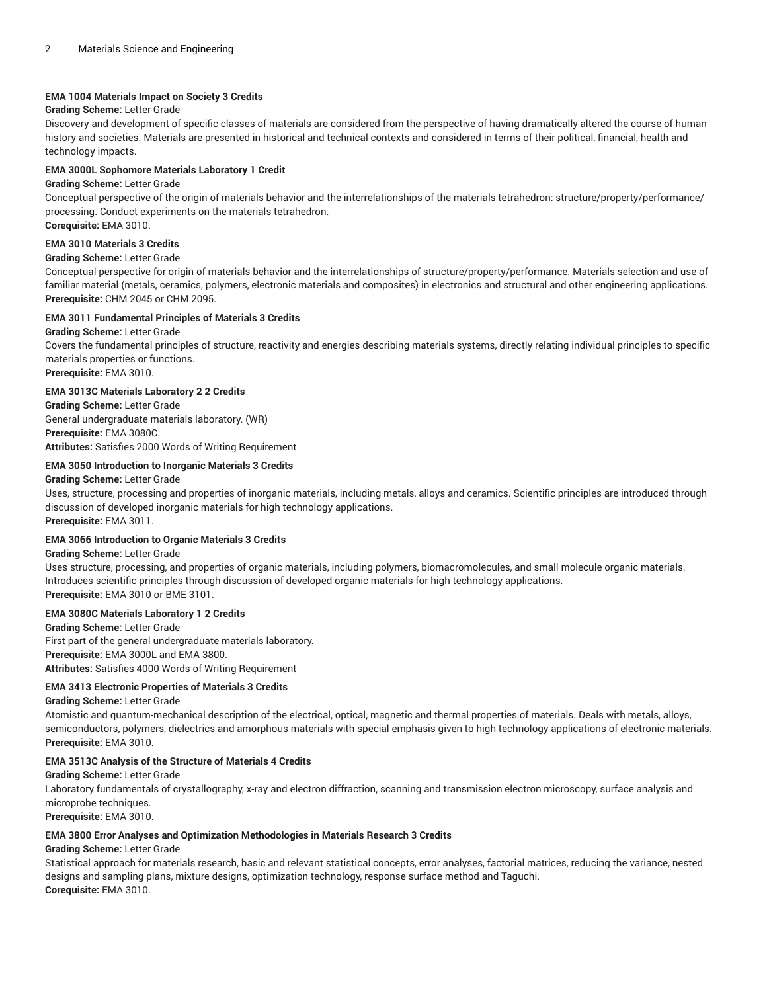#### **EMA 1004 Materials Impact on Society 3 Credits**

# **Grading Scheme:** Letter Grade

Discovery and development of specific classes of materials are considered from the perspective of having dramatically altered the course of human history and societies. Materials are presented in historical and technical contexts and considered in terms of their political, financial, health and technology impacts.

# **EMA 3000L Sophomore Materials Laboratory 1 Credit**

#### **Grading Scheme:** Letter Grade

Conceptual perspective of the origin of materials behavior and the interrelationships of the materials tetrahedron: structure/property/performance/ processing. Conduct experiments on the materials tetrahedron.

**Corequisite:** EMA 3010.

# **EMA 3010 Materials 3 Credits**

# **Grading Scheme:** Letter Grade

Conceptual perspective for origin of materials behavior and the interrelationships of structure/property/performance. Materials selection and use of familiar material (metals, ceramics, polymers, electronic materials and composites) in electronics and structural and other engineering applications. **Prerequisite:** CHM 2045 or CHM 2095.

# **EMA 3011 Fundamental Principles of Materials 3 Credits**

#### **Grading Scheme:** Letter Grade

Covers the fundamental principles of structure, reactivity and energies describing materials systems, directly relating individual principles to specific materials properties or functions. **Prerequisite:** EMA 3010.

# **EMA 3013C Materials Laboratory 2 2 Credits**

**Grading Scheme:** Letter Grade General undergraduate materials laboratory. (WR) **Prerequisite:** EMA 3080C. **Attributes:** Satisfies 2000 Words of Writing Requirement

# **EMA 3050 Introduction to Inorganic Materials 3 Credits**

#### **Grading Scheme:** Letter Grade

Uses, structure, processing and properties of inorganic materials, including metals, alloys and ceramics. Scientific principles are introduced through discussion of developed inorganic materials for high technology applications. **Prerequisite:** EMA 3011.

#### **EMA 3066 Introduction to Organic Materials 3 Credits**

#### **Grading Scheme:** Letter Grade

Uses structure, processing, and properties of organic materials, including polymers, biomacromolecules, and small molecule organic materials. Introduces scientific principles through discussion of developed organic materials for high technology applications. **Prerequisite:** EMA 3010 or BME 3101.

# **EMA 3080C Materials Laboratory 1 2 Credits**

**Grading Scheme:** Letter Grade First part of the general undergraduate materials laboratory. **Prerequisite:** EMA 3000L and EMA 3800. **Attributes:** Satisfies 4000 Words of Writing Requirement

# **EMA 3413 Electronic Properties of Materials 3 Credits**

#### **Grading Scheme:** Letter Grade

Atomistic and quantum-mechanical description of the electrical, optical, magnetic and thermal properties of materials. Deals with metals, alloys, semiconductors, polymers, dielectrics and amorphous materials with special emphasis given to high technology applications of electronic materials. **Prerequisite:** EMA 3010.

#### **EMA 3513C Analysis of the Structure of Materials 4 Credits**

#### **Grading Scheme:** Letter Grade

Laboratory fundamentals of crystallography, x-ray and electron diffraction, scanning and transmission electron microscopy, surface analysis and microprobe techniques.

**Prerequisite:** EMA 3010.

#### **EMA 3800 Error Analyses and Optimization Methodologies in Materials Research 3 Credits**

#### **Grading Scheme:** Letter Grade

Statistical approach for materials research, basic and relevant statistical concepts, error analyses, factorial matrices, reducing the variance, nested designs and sampling plans, mixture designs, optimization technology, response surface method and Taguchi. **Corequisite:** EMA 3010.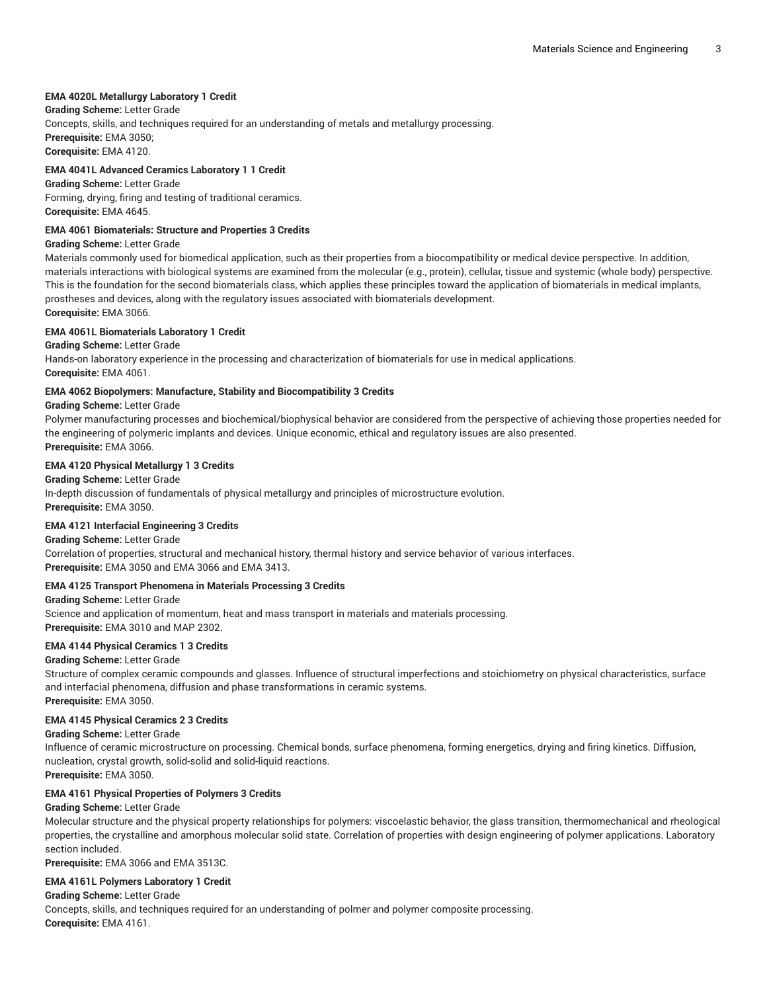# **EMA 4020L Metallurgy Laboratory 1 Credit**

**Grading Scheme:** Letter Grade

Concepts, skills, and techniques required for an understanding of metals and metallurgy processing. **Prerequisite:** EMA 3050; **Corequisite:** EMA 4120.

# **EMA 4041L Advanced Ceramics Laboratory 1 1 Credit**

**Grading Scheme:** Letter Grade Forming, drying, firing and testing of traditional ceramics. **Corequisite:** EMA 4645.

# **EMA 4061 Biomaterials: Structure and Properties 3 Credits**

#### **Grading Scheme:** Letter Grade

Materials commonly used for biomedical application, such as their properties from a biocompatibility or medical device perspective. In addition, materials interactions with biological systems are examined from the molecular (e.g., protein), cellular, tissue and systemic (whole body) perspective. This is the foundation for the second biomaterials class, which applies these principles toward the application of biomaterials in medical implants, prostheses and devices, along with the regulatory issues associated with biomaterials development. **Corequisite:** EMA 3066.

# **EMA 4061L Biomaterials Laboratory 1 Credit**

**Grading Scheme:** Letter Grade

Hands-on laboratory experience in the processing and characterization of biomaterials for use in medical applications. **Corequisite:** EMA 4061.

# **EMA 4062 Biopolymers: Manufacture, Stability and Biocompatibility 3 Credits**

**Grading Scheme:** Letter Grade

Polymer manufacturing processes and biochemical/biophysical behavior are considered from the perspective of achieving those properties needed for the engineering of polymeric implants and devices. Unique economic, ethical and regulatory issues are also presented. **Prerequisite:** EMA 3066.

# **EMA 4120 Physical Metallurgy 1 3 Credits**

**Grading Scheme:** Letter Grade In-depth discussion of fundamentals of physical metallurgy and principles of microstructure evolution. **Prerequisite:** EMA 3050.

#### **EMA 4121 Interfacial Engineering 3 Credits**

**Grading Scheme:** Letter Grade

Correlation of properties, structural and mechanical history, thermal history and service behavior of various interfaces. **Prerequisite:** EMA 3050 and EMA 3066 and EMA 3413.

# **EMA 4125 Transport Phenomena in Materials Processing 3 Credits**

**Grading Scheme:** Letter Grade Science and application of momentum, heat and mass transport in materials and materials processing. **Prerequisite:** EMA 3010 and MAP 2302.

# **EMA 4144 Physical Ceramics 1 3 Credits**

# **Grading Scheme:** Letter Grade

Structure of complex ceramic compounds and glasses. Influence of structural imperfections and stoichiometry on physical characteristics, surface and interfacial phenomena, diffusion and phase transformations in ceramic systems. **Prerequisite:** EMA 3050.

#### **EMA 4145 Physical Ceramics 2 3 Credits**

**Grading Scheme:** Letter Grade

Influence of ceramic microstructure on processing. Chemical bonds, surface phenomena, forming energetics, drying and firing kinetics. Diffusion, nucleation, crystal growth, solid-solid and solid-liquid reactions.

**Prerequisite:** EMA 3050.

# **EMA 4161 Physical Properties of Polymers 3 Credits**

# **Grading Scheme:** Letter Grade

Molecular structure and the physical property relationships for polymers: viscoelastic behavior, the glass transition, thermomechanical and rheological properties, the crystalline and amorphous molecular solid state. Correlation of properties with design engineering of polymer applications. Laboratory section included.

**Prerequisite:** EMA 3066 and EMA 3513C.

#### **EMA 4161L Polymers Laboratory 1 Credit**

**Grading Scheme:** Letter Grade

Concepts, skills, and techniques required for an understanding of polmer and polymer composite processing. **Corequisite:** EMA 4161.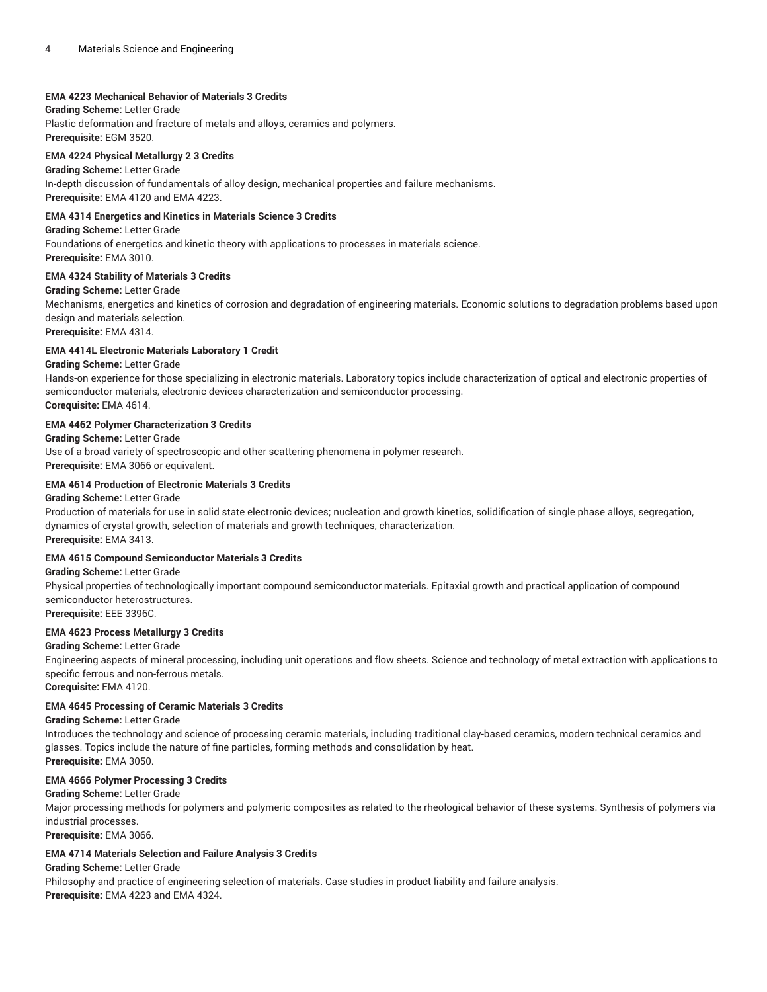# **EMA 4223 Mechanical Behavior of Materials 3 Credits**

# **Grading Scheme:** Letter Grade

Plastic deformation and fracture of metals and alloys, ceramics and polymers. **Prerequisite:** EGM 3520.

#### **EMA 4224 Physical Metallurgy 2 3 Credits**

**Grading Scheme:** Letter Grade In-depth discussion of fundamentals of alloy design, mechanical properties and failure mechanisms. **Prerequisite:** EMA 4120 and EMA 4223.

# **EMA 4314 Energetics and Kinetics in Materials Science 3 Credits**

**Grading Scheme:** Letter Grade

Foundations of energetics and kinetic theory with applications to processes in materials science. **Prerequisite:** EMA 3010.

# **EMA 4324 Stability of Materials 3 Credits**

#### **Grading Scheme:** Letter Grade

Mechanisms, energetics and kinetics of corrosion and degradation of engineering materials. Economic solutions to degradation problems based upon design and materials selection.

**Prerequisite:** EMA 4314.

# **EMA 4414L Electronic Materials Laboratory 1 Credit**

# **Grading Scheme:** Letter Grade

Hands-on experience for those specializing in electronic materials. Laboratory topics include characterization of optical and electronic properties of semiconductor materials, electronic devices characterization and semiconductor processing. **Corequisite:** EMA 4614.

# **EMA 4462 Polymer Characterization 3 Credits**

#### **Grading Scheme:** Letter Grade

Use of a broad variety of spectroscopic and other scattering phenomena in polymer research.

**Prerequisite:** EMA 3066 or equivalent.

# **EMA 4614 Production of Electronic Materials 3 Credits**

#### **Grading Scheme:** Letter Grade

Production of materials for use in solid state electronic devices; nucleation and growth kinetics, solidification of single phase alloys, segregation, dynamics of crystal growth, selection of materials and growth techniques, characterization. **Prerequisite:** EMA 3413.

# **EMA 4615 Compound Semiconductor Materials 3 Credits**

#### **Grading Scheme:** Letter Grade

Physical properties of technologically important compound semiconductor materials. Epitaxial growth and practical application of compound semiconductor heterostructures.

**Prerequisite:** EEE 3396C.

# **EMA 4623 Process Metallurgy 3 Credits**

#### **Grading Scheme:** Letter Grade

Engineering aspects of mineral processing, including unit operations and flow sheets. Science and technology of metal extraction with applications to specific ferrous and non-ferrous metals.

**Corequisite:** EMA 4120.

# **EMA 4645 Processing of Ceramic Materials 3 Credits**

#### **Grading Scheme:** Letter Grade

Introduces the technology and science of processing ceramic materials, including traditional clay-based ceramics, modern technical ceramics and glasses. Topics include the nature of fine particles, forming methods and consolidation by heat. **Prerequisite:** EMA 3050.

# **EMA 4666 Polymer Processing 3 Credits**

# **Grading Scheme:** Letter Grade

Major processing methods for polymers and polymeric composites as related to the rheological behavior of these systems. Synthesis of polymers via industrial processes.

**Prerequisite:** EMA 3066.

# **EMA 4714 Materials Selection and Failure Analysis 3 Credits**

**Grading Scheme:** Letter Grade Philosophy and practice of engineering selection of materials. Case studies in product liability and failure analysis. **Prerequisite:** EMA 4223 and EMA 4324.